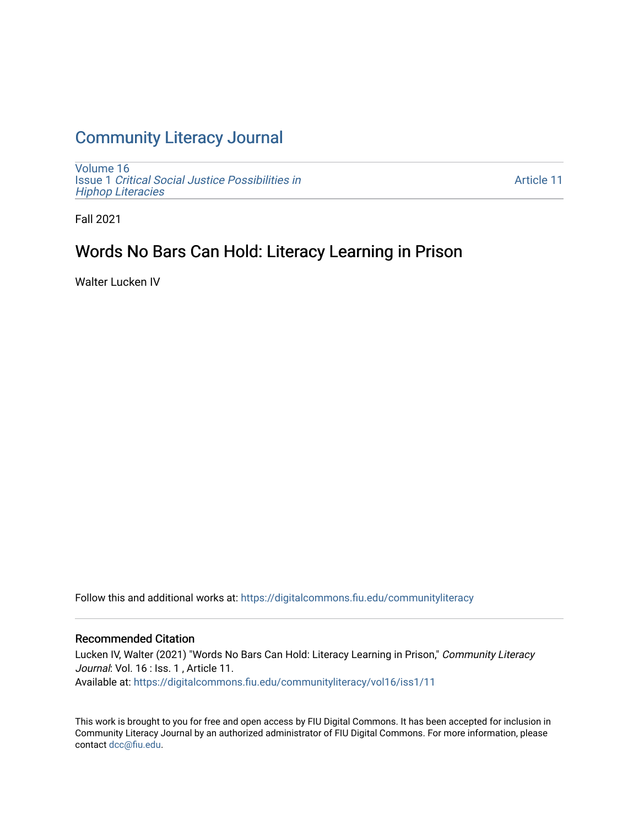# [Community Literacy Journal](https://digitalcommons.fiu.edu/communityliteracy)

[Volume 16](https://digitalcommons.fiu.edu/communityliteracy/vol16) Issue 1 [Critical Social Justice Possibilities in](https://digitalcommons.fiu.edu/communityliteracy/vol16/iss1) [Hiphop Literacies](https://digitalcommons.fiu.edu/communityliteracy/vol16/iss1)

[Article 11](https://digitalcommons.fiu.edu/communityliteracy/vol16/iss1/11) 

Fall 2021

# Words No Bars Can Hold: Literacy Learning in Prison

Walter Lucken IV

Follow this and additional works at: [https://digitalcommons.fiu.edu/communityliteracy](https://digitalcommons.fiu.edu/communityliteracy?utm_source=digitalcommons.fiu.edu%2Fcommunityliteracy%2Fvol16%2Fiss1%2F11&utm_medium=PDF&utm_campaign=PDFCoverPages)

#### Recommended Citation

Lucken IV, Walter (2021) "Words No Bars Can Hold: Literacy Learning in Prison," Community Literacy Journal: Vol. 16 : Iss. 1, Article 11. Available at: [https://digitalcommons.fiu.edu/communityliteracy/vol16/iss1/11](https://digitalcommons.fiu.edu/communityliteracy/vol16/iss1/11?utm_source=digitalcommons.fiu.edu%2Fcommunityliteracy%2Fvol16%2Fiss1%2F11&utm_medium=PDF&utm_campaign=PDFCoverPages) 

This work is brought to you for free and open access by FIU Digital Commons. It has been accepted for inclusion in Community Literacy Journal by an authorized administrator of FIU Digital Commons. For more information, please contact [dcc@fiu.edu](mailto:dcc@fiu.edu).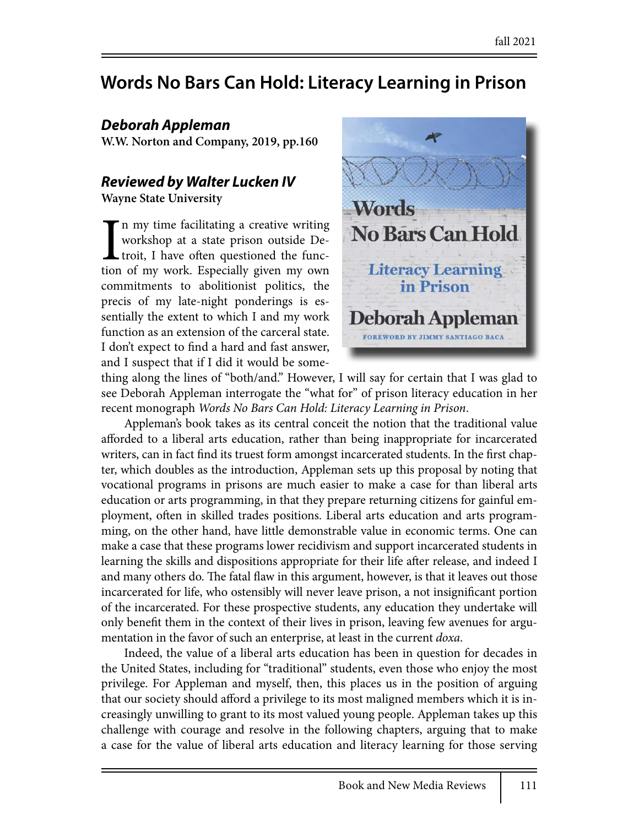# **Words No Bars Can Hold: Literacy Learning in Prison**

### *Deborah Appleman*

**W.W. Norton and Company, 2019, pp.160**

## *Reviewed by Walter Lucken IV*

**Wayne State University**

In my time facilitating a creative writing<br>workshop at a state prison outside De-<br>troit, I have often questioned the func-<br>tion of my work. Especially given my own n my time facilitating a creative writing workshop at a state prison outside De-**L** troit, I have often questioned the funccommitments to abolitionist politics, the precis of my late-night ponderings is essentially the extent to which I and my work function as an extension of the carceral state. I don't expect to find a hard and fast answer, and I suspect that if I did it would be some-



thing along the lines of "both/and." However, I will say for certain that I was glad to see Deborah Appleman interrogate the "what for" of prison literacy education in her recent monograph *Words No Bars Can Hold: Literacy Learning in Prison*.

Appleman's book takes as its central conceit the notion that the traditional value afforded to a liberal arts education, rather than being inappropriate for incarcerated writers, can in fact find its truest form amongst incarcerated students. In the first chapter, which doubles as the introduction, Appleman sets up this proposal by noting that vocational programs in prisons are much easier to make a case for than liberal arts education or arts programming, in that they prepare returning citizens for gainful employment, often in skilled trades positions. Liberal arts education and arts programming, on the other hand, have little demonstrable value in economic terms. One can make a case that these programs lower recidivism and support incarcerated students in learning the skills and dispositions appropriate for their life after release, and indeed I and many others do. The fatal flaw in this argument, however, is that it leaves out those incarcerated for life, who ostensibly will never leave prison, a not insignificant portion of the incarcerated. For these prospective students, any education they undertake will only benefit them in the context of their lives in prison, leaving few avenues for argumentation in the favor of such an enterprise, at least in the current *doxa*.

Indeed, the value of a liberal arts education has been in question for decades in the United States, including for "traditional" students, even those who enjoy the most privilege. For Appleman and myself, then, this places us in the position of arguing that our society should afford a privilege to its most maligned members which it is increasingly unwilling to grant to its most valued young people. Appleman takes up this challenge with courage and resolve in the following chapters, arguing that to make a case for the value of liberal arts education and literacy learning for those serving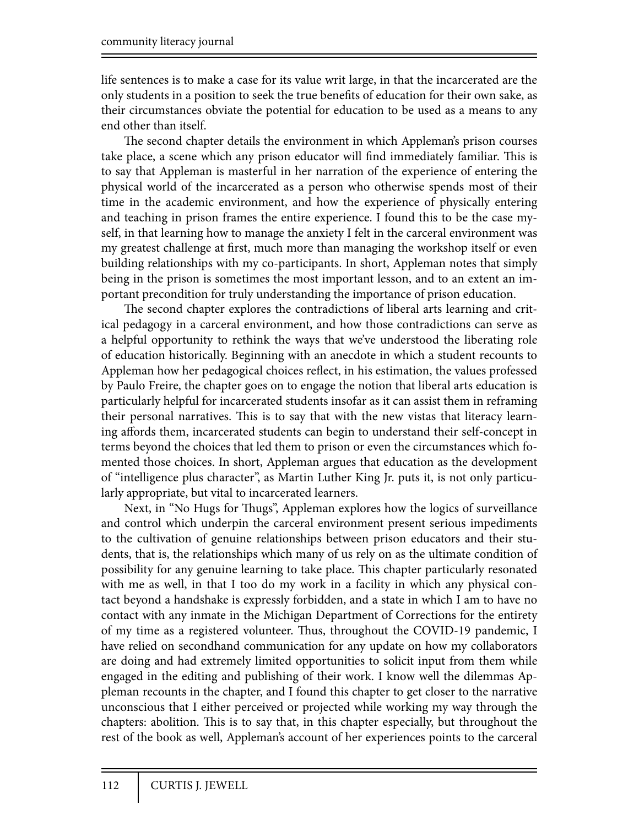life sentences is to make a case for its value writ large, in that the incarcerated are the only students in a position to seek the true benefits of education for their own sake, as their circumstances obviate the potential for education to be used as a means to any end other than itself.

The second chapter details the environment in which Appleman's prison courses take place, a scene which any prison educator will find immediately familiar. This is to say that Appleman is masterful in her narration of the experience of entering the physical world of the incarcerated as a person who otherwise spends most of their time in the academic environment, and how the experience of physically entering and teaching in prison frames the entire experience. I found this to be the case myself, in that learning how to manage the anxiety I felt in the carceral environment was my greatest challenge at first, much more than managing the workshop itself or even building relationships with my co-participants. In short, Appleman notes that simply being in the prison is sometimes the most important lesson, and to an extent an important precondition for truly understanding the importance of prison education.

The second chapter explores the contradictions of liberal arts learning and critical pedagogy in a carceral environment, and how those contradictions can serve as a helpful opportunity to rethink the ways that we've understood the liberating role of education historically. Beginning with an anecdote in which a student recounts to Appleman how her pedagogical choices reflect, in his estimation, the values professed by Paulo Freire, the chapter goes on to engage the notion that liberal arts education is particularly helpful for incarcerated students insofar as it can assist them in reframing their personal narratives. This is to say that with the new vistas that literacy learning affords them, incarcerated students can begin to understand their self-concept in terms beyond the choices that led them to prison or even the circumstances which fomented those choices. In short, Appleman argues that education as the development of "intelligence plus character", as Martin Luther King Jr. puts it, is not only particularly appropriate, but vital to incarcerated learners.

Next, in "No Hugs for Thugs", Appleman explores how the logics of surveillance and control which underpin the carceral environment present serious impediments to the cultivation of genuine relationships between prison educators and their students, that is, the relationships which many of us rely on as the ultimate condition of possibility for any genuine learning to take place. This chapter particularly resonated with me as well, in that I too do my work in a facility in which any physical contact beyond a handshake is expressly forbidden, and a state in which I am to have no contact with any inmate in the Michigan Department of Corrections for the entirety of my time as a registered volunteer. Thus, throughout the COVID-19 pandemic, I have relied on secondhand communication for any update on how my collaborators are doing and had extremely limited opportunities to solicit input from them while engaged in the editing and publishing of their work. I know well the dilemmas Appleman recounts in the chapter, and I found this chapter to get closer to the narrative unconscious that I either perceived or projected while working my way through the chapters: abolition. This is to say that, in this chapter especially, but throughout the rest of the book as well, Appleman's account of her experiences points to the carceral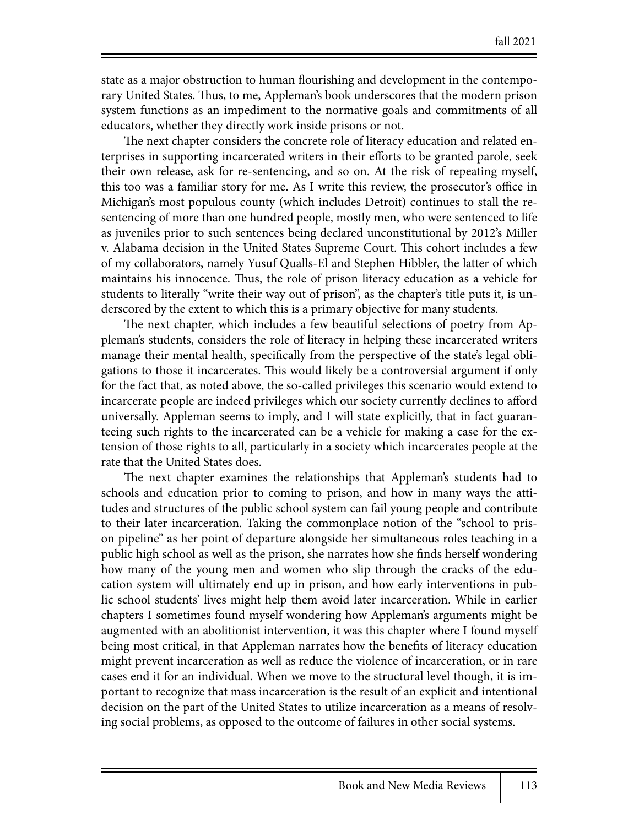state as a major obstruction to human flourishing and development in the contemporary United States. Thus, to me, Appleman's book underscores that the modern prison system functions as an impediment to the normative goals and commitments of all educators, whether they directly work inside prisons or not.

The next chapter considers the concrete role of literacy education and related enterprises in supporting incarcerated writers in their efforts to be granted parole, seek their own release, ask for re-sentencing, and so on. At the risk of repeating myself, this too was a familiar story for me. As I write this review, the prosecutor's office in Michigan's most populous county (which includes Detroit) continues to stall the resentencing of more than one hundred people, mostly men, who were sentenced to life as juveniles prior to such sentences being declared unconstitutional by 2012's Miller v. Alabama decision in the United States Supreme Court. This cohort includes a few of my collaborators, namely Yusuf Qualls-El and Stephen Hibbler, the latter of which maintains his innocence. Thus, the role of prison literacy education as a vehicle for students to literally "write their way out of prison", as the chapter's title puts it, is underscored by the extent to which this is a primary objective for many students.

The next chapter, which includes a few beautiful selections of poetry from Appleman's students, considers the role of literacy in helping these incarcerated writers manage their mental health, specifically from the perspective of the state's legal obligations to those it incarcerates. This would likely be a controversial argument if only for the fact that, as noted above, the so-called privileges this scenario would extend to incarcerate people are indeed privileges which our society currently declines to afford universally. Appleman seems to imply, and I will state explicitly, that in fact guaranteeing such rights to the incarcerated can be a vehicle for making a case for the extension of those rights to all, particularly in a society which incarcerates people at the rate that the United States does.

The next chapter examines the relationships that Appleman's students had to schools and education prior to coming to prison, and how in many ways the attitudes and structures of the public school system can fail young people and contribute to their later incarceration. Taking the commonplace notion of the "school to prison pipeline" as her point of departure alongside her simultaneous roles teaching in a public high school as well as the prison, she narrates how she finds herself wondering how many of the young men and women who slip through the cracks of the education system will ultimately end up in prison, and how early interventions in public school students' lives might help them avoid later incarceration. While in earlier chapters I sometimes found myself wondering how Appleman's arguments might be augmented with an abolitionist intervention, it was this chapter where I found myself being most critical, in that Appleman narrates how the benefits of literacy education might prevent incarceration as well as reduce the violence of incarceration, or in rare cases end it for an individual. When we move to the structural level though, it is important to recognize that mass incarceration is the result of an explicit and intentional decision on the part of the United States to utilize incarceration as a means of resolving social problems, as opposed to the outcome of failures in other social systems.